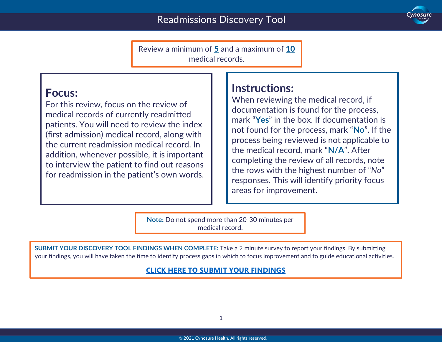

Review a minimum of **5** and a maximum of **10** medical records.

### **Focus:**

For this review, focus on the review of medical records of currently readmitted patients. You will need to review the index (first admission) medical record, along with the current readmission medical record. In addition, whenever possible, it is important to interview the patient to find out reasons for readmission in the patient's own words.

## **Instructions:**

When reviewing the medical record, if documentation is found for the process, mark "**Yes**" in the box. If documentation is not found for the process, mark "**No**". If the process being reviewed is not applicable to the medical record, mark "**N/A**". After completing the review of all records, note the rows with the highest number of "*No*" responses. This will identify priority focus areas for improvement.

**Note:** Do not spend more than 20-30 minutes per medical record.

**SUBMIT YOUR DISCOVERY TOOL FINDINGS WHEN COMPLETE:** Take a 2 minute survey to report your findings. By submitting your findings, you will have taken the time to identify process gaps in which to focus improvement and to guide educational activities.

#### **[CLICK HERE TO SUBMIT YOUR FINDINGS](https://forms.office.com/Pages/ResponsePage.aspx?id=CaWuRzwNk06ImZTtwCQcupoWHPlbe_BJvTcIOh5cXV5UQ0w1WDlVODM0V0RZUjEzMzNGQUNKM0tPTC4u)**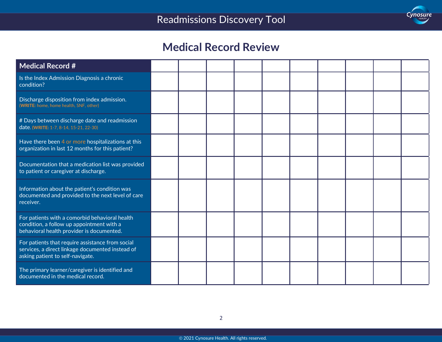

## **Medical Record Review**

| <b>Medical Record #</b>                                                                                                                  |  |  |  |  |  |
|------------------------------------------------------------------------------------------------------------------------------------------|--|--|--|--|--|
| Is the Index Admission Diagnosis a chronic<br>condition?                                                                                 |  |  |  |  |  |
| Discharge disposition from index admission.<br>(WRITE: home, home health, SNF, other)                                                    |  |  |  |  |  |
| # Days between discharge date and readmission<br>date. (WRITE: 1-7, 8-14, 15-21, 22-30)                                                  |  |  |  |  |  |
| Have there been 4 or more hospitalizations at this<br>organization in last 12 months for this patient?                                   |  |  |  |  |  |
| Documentation that a medication list was provided<br>to patient or caregiver at discharge.                                               |  |  |  |  |  |
| Information about the patient's condition was<br>documented and provided to the next level of care<br>receiver.                          |  |  |  |  |  |
| For patients with a comorbid behavioral health<br>condition, a follow up appointment with a<br>behavioral health provider is documented. |  |  |  |  |  |
| For patients that require assistance from social<br>services, a direct linkage documented instead of<br>asking patient to self-navigate. |  |  |  |  |  |
| The primary learner/caregiver is identified and<br>documented in the medical record.                                                     |  |  |  |  |  |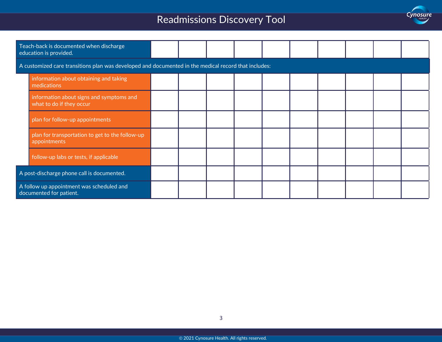# Readmissions Discovery Tool



| Teach-back is documented when discharge<br>education is provided.                                    |                                                                      |  |  |  |  |  |  |  |  |  |  |
|------------------------------------------------------------------------------------------------------|----------------------------------------------------------------------|--|--|--|--|--|--|--|--|--|--|
| A customized care transitions plan was developed and documented in the medical record that includes: |                                                                      |  |  |  |  |  |  |  |  |  |  |
|                                                                                                      | information about obtaining and taking<br>medications                |  |  |  |  |  |  |  |  |  |  |
|                                                                                                      | information about signs and symptoms and<br>what to do if they occur |  |  |  |  |  |  |  |  |  |  |
|                                                                                                      | plan for follow-up appointments                                      |  |  |  |  |  |  |  |  |  |  |
|                                                                                                      | plan for transportation to get to the follow-up<br>appointments      |  |  |  |  |  |  |  |  |  |  |
|                                                                                                      | follow-up labs or tests, if applicable                               |  |  |  |  |  |  |  |  |  |  |
| A post-discharge phone call is documented.                                                           |                                                                      |  |  |  |  |  |  |  |  |  |  |
| A follow up appointment was scheduled and<br>documented for patient.                                 |                                                                      |  |  |  |  |  |  |  |  |  |  |